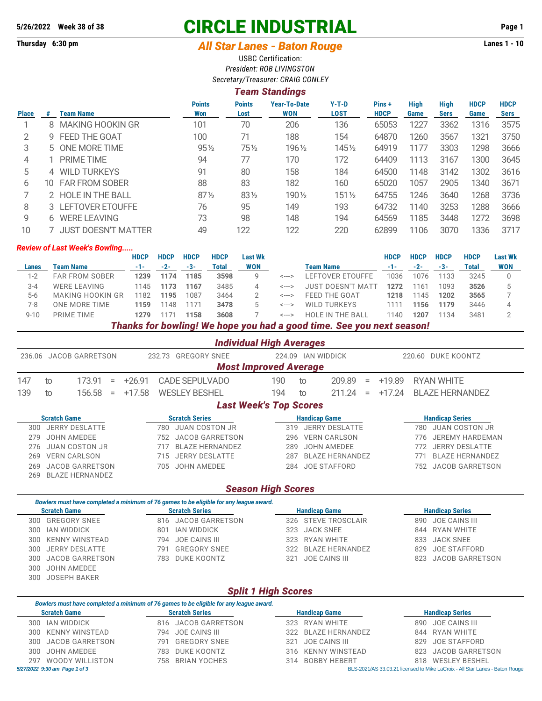# **5/26/2022 Week 38 of 38 CIRCLE INDUSTRIAL Page 1**

# **Thursday 6:30 pm** *All Star Lanes - Baton Rouge* **Lanes 1 - 10**

USBC Certification: *President: ROB LIVINGSTON*

|              | I cani ətaliyinyə |                            |                      |                       |                                   |                        |                      |                     |                     |                     |                            |  |
|--------------|-------------------|----------------------------|----------------------|-----------------------|-----------------------------------|------------------------|----------------------|---------------------|---------------------|---------------------|----------------------------|--|
| <b>Place</b> | #                 | <b>Team Name</b>           | <b>Points</b><br>Won | <b>Points</b><br>Lost | <b>Year-To-Date</b><br><b>WON</b> | $Y-T-D$<br><b>LOST</b> | Pins+<br><b>HDCP</b> | <b>High</b><br>Game | High<br><b>Sers</b> | <b>HDCP</b><br>Game | <b>HDCP</b><br><b>Sers</b> |  |
|              | 8                 | MAKING HOOKIN GR           | 101                  | 70                    | 206                               | 136                    | 65053                | 1227                | 3362                | 1316                | 3575                       |  |
| 2            |                   | 9 FEED THE GOAT            | 100                  | 71                    | 188                               | 154                    | 64870                | 1260                | 3567                | 1321                | 3750                       |  |
| 3            |                   | 5 ONE MORE TIME            | $95\frac{1}{2}$      | 75½                   | 1961/2                            | 1451/2                 | 64919                | 1177                | 3303                | 1298                | 3666                       |  |
| 4            |                   | <b>PRIME TIME</b>          | 94                   | 77                    | 170                               | 172                    | 64409                | 1113                | 3167                | 1300                | 3645                       |  |
| 5            |                   | 4 WILD TURKEYS             | 91                   | 80                    | 158                               | 184                    | 64500                | 1148                | 3142                | 1302                | 3616                       |  |
| 6            | 10.               | <b>FAR FROM SOBER</b>      | 88                   | 83                    | 182                               | 160                    | 65020                | 1057                | 2905                | 1340                | 3671                       |  |
|              |                   | 2 HOLE IN THE BALL         | $87\frac{1}{2}$      | $83\frac{1}{2}$       | 1901/2                            | $151\%$                | 64755                | 1246                | 3640                | 1268                | 3736                       |  |
| 8            |                   | 3 LEFTOVER ETOUFFE         | 76                   | 95                    | 149                               | 193                    | 64732                | 1140                | 3253                | 1288                | 3666                       |  |
| 9            | 6                 | <b>WERE LEAVING</b>        | 73                   | 98                    | 148                               | 194                    | 64569                | 1185                | 3448                | 1272                | 3698                       |  |
| 10           |                   | <b>JUST DOESN'T MATTER</b> | 49                   | 122                   | 122                               | 220                    | 62899                | 1106                | 3070                | 1336                | 3717                       |  |

#### *Review of Last Week's Bowling.....*

|              |                       | <b>HDCP</b> | <b>HDCP</b> | <b>HDCP</b>      | <b>HDCP</b> | Last Wk    |       |                          | <b>HDCP</b> | <b>HDCP</b> | <b>HDCP</b> | <b>HDCP</b> | <b>Last Wk</b> |
|--------------|-----------------------|-------------|-------------|------------------|-------------|------------|-------|--------------------------|-------------|-------------|-------------|-------------|----------------|
| <b>Lanes</b> | Team Name             | -1-         | $-2-$       | -3-              | Total       | <b>WON</b> |       | Team Name                | $-1-$       | $-2-$       | -3-         | Total       | <b>WON</b>     |
| $1 - 2$      | <b>FAR FROM SOBER</b> | 1239        | 1174        | 1185             | 3598        |            | <---> | LEFTOVER ETOUFFE         | 1036        | 1076        | 1133        | 3245        |                |
| $3 - 4$      | <b>WERE LEAVING</b>   | 1145        | 1173        | 1167             | 3485        |            | <---> | <b>JUST DOESN'T MATT</b> | 1272        | 1161        | 1093        | 3526        |                |
| $5-6$        | MAKING HOOKIN GR      | 1182        | 1195        | 1087             | 3464        |            | <---> | FEED THE GOAT            | 1218        | 1145        | 1202        | 3565        |                |
| 7-8          | ONE MORE TIME         | 1159        | 148         | 117 <sup>1</sup> | 3478        |            | <---> | WILD TURKEYS             | 1111        | 1156        | 1179        | 3446        |                |
| $9 - 10$     | PRIME TIME            | 1279        |             | 1158             | 3608        |            | <---> | <b>HOLE IN THE BALL</b>  | 1140        | 1207        | 1134        | 3481        |                |
|              | --                    |             |             | - - - - --- -    |             |            |       |                          |             |             |             |             |                |

*Thanks for bowling! We hope you had a good time. See you next season!*

| <b>Individual High Averages</b> |  |
|---------------------------------|--|
|                                 |  |

| <b>JACOB GARRETSON</b><br>236.06 |                          |          | <b>GREGORY SNEE</b><br>232.73                                                          | 224.09                        | <b>IAN WIDDICK</b>     | DUKE KOONTZ<br>220.60         |                               |  |  |  |
|----------------------------------|--------------------------|----------|----------------------------------------------------------------------------------------|-------------------------------|------------------------|-------------------------------|-------------------------------|--|--|--|
|                                  |                          |          |                                                                                        | <b>Most Improved Average</b>  |                        |                               |                               |  |  |  |
| 147                              | 173.91<br>to<br>$\equiv$ | $+26.91$ | <b>CADE SEPULVADO</b>                                                                  | 190                           | 209.89<br>to           | $+19.89$<br>$=$               | <b>RYAN WHITE</b>             |  |  |  |
| 139                              | 156.58<br>to<br>$=$      | $+17.58$ | <b>WESLEY BESHEL</b>                                                                   | 194                           | 211.24<br>to           | $+17.24$<br>$=$               | <b>BLAZE HERNANDEZ</b>        |  |  |  |
|                                  |                          |          |                                                                                        | <b>Last Week's Top Scores</b> |                        |                               |                               |  |  |  |
|                                  | <b>Scratch Game</b>      |          | <b>Scratch Series</b>                                                                  |                               | <b>Handicap Game</b>   |                               | <b>Handicap Series</b>        |  |  |  |
| 300                              | <b>JERRY DESLATTE</b>    |          | <b>JUAN COSTON JR</b><br>780                                                           | 319                           | <b>JERRY DESLATTE</b>  |                               | <b>JUAN COSTON JR</b><br>780  |  |  |  |
| 279                              | <b>JOHN AMEDEE</b>       |          | <b>JACOB GARRETSON</b><br>752                                                          | 296                           | <b>VERN CARLSON</b>    | <b>JEREMY HARDEMAN</b><br>776 |                               |  |  |  |
| 276                              | <b>JUAN COSTON JR</b>    |          | <b>BLAZE HERNANDEZ</b><br>717                                                          | 289                           | <b>JOHN AMEDEE</b>     | <b>JERRY DESLATTE</b><br>772  |                               |  |  |  |
| 269                              | <b>VERN CARLSON</b>      |          | <b>JERRY DESLATTE</b><br>715                                                           | 287                           | <b>BLAZE HERNANDEZ</b> |                               | <b>BLAZE HERNANDEZ</b><br>771 |  |  |  |
| 269                              | <b>JACOB GARRETSON</b>   |          | <b>JOHN AMEDEE</b><br>705                                                              | 284                           | <b>JOE STAFFORD</b>    |                               | <b>JACOB GARRETSON</b><br>752 |  |  |  |
| 269                              | <b>BLAZE HERNANDEZ</b>   |          |                                                                                        |                               |                        |                               |                               |  |  |  |
|                                  |                          |          |                                                                                        | <b>Season High Scores</b>     |                        |                               |                               |  |  |  |
|                                  |                          |          | Bowlers must have completed a minimum of 76 games to be eligible for any league award. |                               |                        |                               |                               |  |  |  |
|                                  | <b>Scratch Game</b>      |          | <b>Scratch Series</b>                                                                  |                               | <b>Handicap Game</b>   |                               | <b>Handicap Series</b>        |  |  |  |
| 300                              | <b>GREGORY SNEE</b>      |          | <b>JACOB GARRETSON</b><br>816                                                          | 326                           | <b>STEVE TROSCLAIR</b> |                               | <b>JOE CAINS III</b><br>890   |  |  |  |
| 300                              | <b>JAN WIDDICK</b>       |          | <b>JAN WIDDICK</b><br>801                                                              | 323                           | <b>JACK SNEE</b>       |                               | <b>RYAN WHITE</b><br>844      |  |  |  |
| 300                              | <b>KENNY WINSTEAD</b>    |          | <b>JOE CAINS III</b><br>794                                                            | 323                           | <b>RYAN WHITE</b>      |                               | <b>JACK SNEE</b><br>833       |  |  |  |
| 300                              | <b>JERRY DESLATTE</b>    |          | <b>GREGORY SNEE</b><br>791                                                             | 322                           | <b>BLAZE HERNANDEZ</b> |                               | <b>JOE STAFFORD</b><br>829    |  |  |  |
| 300                              | <b>JACOB GARRETSON</b>   |          | <b>DUKE KOONTZ</b><br>783                                                              | 321                           | <b>JOE CAINS III</b>   |                               | <b>JACOB GARRETSON</b><br>823 |  |  |  |
| 300                              | <b>JOHN AMEDEE</b>       |          |                                                                                        |                               |                        |                               |                               |  |  |  |
| 300                              | <b>JOSEPH BAKER</b>      |          |                                                                                        |                               |                        |                               |                               |  |  |  |
|                                  |                          |          |                                                                                        | <b>Split 1 High Scores</b>    |                        |                               |                               |  |  |  |

## *Split 1 High Scores*

| Bowlers must have completed a minimum of 76 games to be eligible for any league award. |     |                       |  |                      |  |                                                                              |  |  |  |  |  |  |  |
|----------------------------------------------------------------------------------------|-----|-----------------------|--|----------------------|--|------------------------------------------------------------------------------|--|--|--|--|--|--|--|
| <b>Scratch Game</b>                                                                    |     | <b>Scratch Series</b> |  | <b>Handicap Game</b> |  | <b>Handicap Series</b>                                                       |  |  |  |  |  |  |  |
| 300 IAN WIDDICK                                                                        |     | 816 JACOB GARRETSON   |  | 323 RYAN WHITE       |  | 890 JOE CAINS III                                                            |  |  |  |  |  |  |  |
| 300 KENNY WINSTEAD                                                                     |     | 794 JOE CAINS III     |  | 322 BLAZE HERNANDEZ  |  | 844 RYAN WHITE                                                               |  |  |  |  |  |  |  |
| 300 JACOB GARRETSON                                                                    | 791 | GREGORY SNEE          |  | 321 JOE CAINS III    |  | 829 JOE STAFFORD                                                             |  |  |  |  |  |  |  |
| 300 JOHN AMEDEE                                                                        |     | 783 DUKE KOONTZ       |  | 316 KENNY WINSTEAD   |  | 823 JACOB GARRETSON                                                          |  |  |  |  |  |  |  |
| 297 WOODY WILLISTON                                                                    |     | 758 BRIAN YOCHES      |  | 314 BOBBY HEBERT     |  | 818 WESLEY BESHEL                                                            |  |  |  |  |  |  |  |
| 5/27/2022 9:30 am Page 1 of 3                                                          |     |                       |  |                      |  | BLS-2021/AS 33.03.21 licensed to Mike LaCroix - All Star Lanes - Baton Rouge |  |  |  |  |  |  |  |

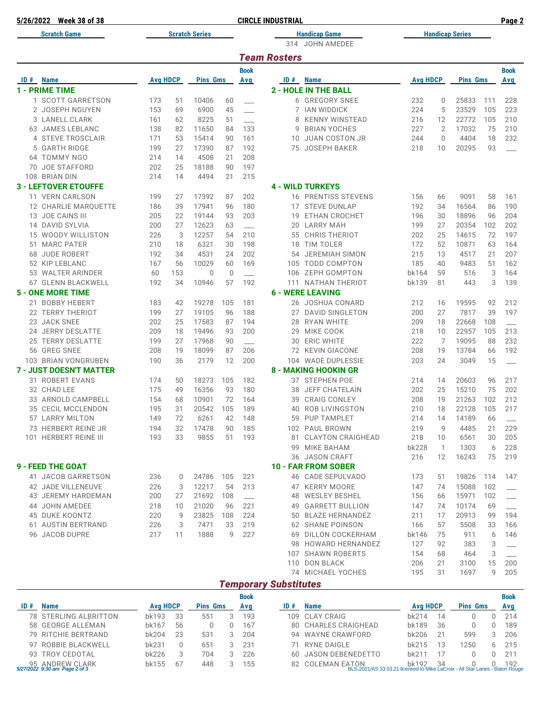|    | 5/26/2022 Week 38 of 38        |                 |     |                       |             |                          | <b>CIRCLE INDUSTRIAL</b> |                                    |                 |                |                        |         | Page 2                   |
|----|--------------------------------|-----------------|-----|-----------------------|-------------|--------------------------|--------------------------|------------------------------------|-----------------|----------------|------------------------|---------|--------------------------|
|    | <b>Scratch Game</b>            |                 |     | <b>Scratch Series</b> |             |                          |                          | <b>Handicap Game</b>               |                 |                | <b>Handicap Series</b> |         |                          |
|    |                                |                 |     |                       |             |                          | 314                      | JOHN AMEDEE                        |                 |                |                        |         |                          |
|    |                                |                 |     |                       |             |                          | <b>Team Rosters</b>      |                                    |                 |                |                        |         |                          |
|    |                                |                 |     |                       |             | <b>Book</b>              |                          |                                    |                 |                |                        |         | <b>Book</b>              |
|    | <b>ID</b> # Name               | <b>Avg HDCP</b> |     | <b>Pins Gms</b>       |             | Avg                      | ID#                      | <b>Name</b>                        | <b>Avg HDCP</b> |                | <b>Pins Gms</b>        |         | Avg                      |
|    | <b>1 - PRIME TIME</b>          |                 |     |                       |             |                          |                          | <b>2 - HOLE IN THE BALL</b>        |                 |                |                        |         |                          |
|    | 1 SCOTT GARRETSON              | 173             | 51  | 10406                 | 60          |                          |                          | 6 GREGORY SNEE                     | 232             | 0              | 25833                  | 111     | 228                      |
|    | 2 JOSEPH NGUYEN                | 153             | 69  | 6900                  | 45          |                          | 7                        | <b>IAN WIDDICK</b>                 | 224             | 5              | 23529                  | 105     | 223                      |
|    | 3 LANELL CLARK                 | 161             | 62  | 8225                  | 51          |                          | 8                        | <b>KENNY WINSTEAD</b>              | 216             | 12             | 22772                  | 105     | 210                      |
| 63 | <b>JAMES LEBLANC</b>           | 138             | 82  | 11650                 | 84          | 133                      | 9                        | <b>BRIAN YOCHES</b>                | 227             | $\overline{2}$ | 17032                  | 75      | 210                      |
|    | 4 STEVE TROSCLAIR              | 171             | 53  | 15414                 | 90          | 161                      | 10                       | <b>JUAN COSTON JR</b>              | 244             | $\mathbf{0}$   | 4404                   | 18      | 232                      |
| 5  | <b>GARTH RIDGE</b>             | 199             | 27  | 17390                 | 87          | 192                      | 75                       | JOSEPH BAKER                       | 218             | 10             | 20295                  | 93      |                          |
|    | 64 TOMMY NGO                   | 214             | 14  | 4508                  | 21          | 208                      |                          |                                    |                 |                |                        |         |                          |
|    | 70 JOE STAFFORD                | 202             | 25  | 18188                 | 90          | 197                      |                          |                                    |                 |                |                        |         |                          |
|    | 108 BRIAN DIN                  | 214             | 14  | 4494                  | 21          | 215                      |                          |                                    |                 |                |                        |         |                          |
|    | <b>3 - LEFTOVER ETOUFFE</b>    |                 |     |                       |             |                          |                          | <b>4 - WILD TURKEYS</b>            |                 |                |                        |         |                          |
|    | 11 VERN CARLSON                | 199             | 27  | 17392                 | 87          | 202                      |                          | <b>16 PRENTISS STEVENS</b>         | 156             | 66             | 9091                   | 58      | 161                      |
|    | 12 CHARLIE MARQUETTE           | 186             | 39  | 17941                 | 96          | 180                      |                          | 17 STEVE DUNLAP                    | 192             | 34             | 16564                  | 86      | 190                      |
|    | 13 JOE CAINS III               | 205             | 22  | 19144                 | 93          | 203                      | 19                       | <b>ETHAN CROCHET</b>               | 196             | 30             | 18896                  | 96      | 204                      |
|    | 14 DAVID SYLVIA                | 200             | 27  | 12623                 | 63          |                          | 20                       | <b>LARRY MAH</b>                   | 199             | 27             | 20354                  | 102     | 202                      |
| 15 | <b>WOODY WILLISTON</b>         | 226             | 3   | 12257                 | 54          | 210                      | 55                       | <b>CHRIS THERIOT</b>               | 202             | 25             | 14615                  | 72      | 197                      |
|    | 51 MARC PATER                  | 210             | 18  | 6321                  | 30          | 198                      | 18                       | <b>TIM TOLER</b>                   | 172             | 52             | 10871                  | 63      | 164                      |
|    | 68 JUDE ROBERT                 | 192             | 34  | 4531                  | 24          | 202                      | 54                       | <b>JEREMIAH SIMON</b>              | 215             | 13             | 4517                   | 21      | 207                      |
|    | 52 KIP LEBLANC                 | 167             | 56  | 10029                 | 60          | 169                      | 105                      | <b>TODD COMPTON</b>                | 185             | 40             | 9483                   | 51      | 162                      |
|    | 53 WALTER ARINDER              | 60              | 153 | $\mathbf{0}$          | $\mathbf 0$ |                          | 106                      | <b>ZEPH GOMPTON</b>                | bk164           | 59             | 516                    | 3       | 164                      |
|    | 67 GLENN BLACKWELL             | 192             | 34  | 10946                 | 57          | 192                      | 111                      | <b>NATHAN THERIOT</b>              | bk139           | 81             | 443                    | 3       | 139                      |
|    | <b>5 - ONE MORE TIME</b>       |                 |     |                       |             |                          |                          | <b>6 - WERE LEAVING</b>            |                 |                |                        |         |                          |
|    | 21 BOBBY HEBERT                | 183             | 42  | 19278                 | 105         | 181                      |                          | 26 JOSHUA CONARD                   | 212             | 16             | 19595                  | 92      | 212                      |
|    | 22 TERRY THERIOT               | 199             | 27  | 19105                 | 96          | 188                      | 27                       | <b>DAVID SINGLETON</b>             | 200             | 27             | 7817                   | 39      | 197                      |
| 23 | <b>JACK SNEE</b>               | 202             | 25  | 17583                 | 87          | 194                      | 28                       | <b>RYAN WHITE</b>                  | 209             | 18             | 22668                  | 108     |                          |
|    | 24 JERRY DESLATTE              | 209             | 18  | 19496                 | 93          | 200                      | 29                       | MIKE COOK                          | 218             | 10             | 22957                  | 105     | 213                      |
|    | 25 TERRY DESLATTE              | 199             | 27  | 17968                 | 90          |                          | 30                       | <b>ERIC WHITE</b>                  | 222             | $\overline{7}$ | 19095                  | 88      | 232                      |
|    | 56 GREG SNEE                   | 208             | 19  | 18099                 | 87          | 206                      |                          | 72 KEVIN GIACONE                   | 208             | 19             | 13784                  | 66      | 192                      |
|    | 103 BRIAN VONGRUBEN            | 190             | 36  | 2179                  | 12          | 200                      | 104                      | <b>WADE DUPLESSIE</b>              | 203             | 24             | 3049                   | 15      |                          |
|    | <b>7 - JUST DOESN'T MATTER</b> |                 |     |                       |             |                          |                          | <b>8 - MAKING HOOKIN GR</b>        |                 |                |                        |         |                          |
|    | 31 ROBERT EVANS                | 174             | 50  | 18273                 | 105         | 182                      | 37                       | <b>STEPHEN POE</b>                 | 214             | 14             | 20603                  | 96      | 217                      |
|    | 32 CHAD LEE                    | 175             | 49  | 16356                 | 93          | 180                      | 38                       | <b>JEFF CHATELAIN</b>              | 202             | 25             | 15210                  | 75      | 202                      |
|    | 33 ARNOLD CAMPBELL             | 154             | 68  | 10901                 | 72          | 164                      |                          | 39 CRAIG CONLEY                    | 208             | 19             | 21263                  | 102     | 212                      |
|    | 35 CECIL MCCLENDON             | 195             | 31  | 20542                 | 105         | 189                      |                          | 40 ROB LIVINGSTON                  | 210             | 18             | 22128                  | 105     | 217                      |
|    | 57 LARRY MILTON                | 149             | 72  | 6261                  | 42          | 148                      |                          | 59 PUP TAMPLET                     | 214             | 14             | 14189                  | 66      |                          |
|    | 73 HERBERT REINE JR            | 194             | 32  | 17478                 | 90          | 185                      |                          | 102 PAUL BROWN                     | 219             | 9              | 4485                   | 21      | 229                      |
|    | 101 HERBERT REINE III          | 193             | 33  | 9855                  | 51          | 193                      |                          | 81 CLAYTON CRAIGHEAD               | 218             | 10             | 6561                   | 30      | 205                      |
|    |                                |                 |     |                       |             |                          |                          | 99 MIKE BAHAM                      | <b>bk228</b>    | $\overline{1}$ | 1303                   | 6       | 228                      |
|    |                                |                 |     |                       |             |                          |                          | 36 JASON CRAFT                     | 216             | 12             | 16243                  | 75      | 219                      |
|    | 9 - FEED THE GOAT              |                 |     |                       |             |                          |                          | <b>10 - FAR FROM SOBER</b>         |                 |                |                        |         |                          |
|    | 41 JACOB GARRETSON             | 236             | 0   | 24786                 | 105         | 221                      |                          | 46 CADE SEPULVADO                  | 173             | 51             | 19826                  | 114     | 147                      |
|    | 42 JADE VILLENEUVE             | 226             | 3   | 12217                 | 54          | 213                      |                          | 47 KERRY MOORE                     | 147             | 74             | 15088                  | 102     |                          |
|    | 43 JEREMY HARDEMAN             | 200             | 27  | 21692                 | 108         | $\overline{\phantom{a}}$ |                          | 48 WESLEY BESHEL                   | 156             | 66             | 15971                  | 102     | $\overline{\phantom{0}}$ |
|    | 44 JOHN AMEDEE                 | 218             | 10  | 21020                 | 96          | 221                      |                          | 49 GARRETT BULLION                 | 147             | 74             | 10174                  | 69      |                          |
|    | <b>45 DUKE KOONTZ</b>          | 220             | 9   | 23825                 | 108         | 224                      |                          | 50 BLAZE HERNANDEZ                 | 211             | 17             | 20913                  | 99      | 194                      |
|    | 61 AUSTIN BERTRAND             | 226             | 3   | 7471                  | 33          | 219                      |                          | 62 SHANE POINSON                   | 166             | 57             | 5508                   | 33      | 166                      |
|    | 96 JACOB DUPRE                 | 217             | 11  | 1888                  | 9           | 227                      |                          | 69 DILLON COCKERHAM                | bk146           | 75             | 911                    | 6       | 146                      |
|    |                                |                 |     |                       |             |                          |                          | 98 HOWARD HERNANDEZ                | 127             | 92             | 383                    | 3       | ---                      |
|    |                                |                 |     |                       |             |                          |                          | 107 SHAWN ROBERTS                  | 154             | 68             | 464                    | 3       |                          |
|    |                                |                 |     |                       |             |                          |                          | 110 DON BLACK<br>74 MICHAEL YOCHES | 206             | 21<br>31       | 3100                   | 15<br>9 | 200<br>205               |
|    |                                |                 |     |                       |             |                          |                          |                                    | 195             |                | 1697                   |         |                          |

### *Temporary Substitutes*

|     |                                                  |                 |    |                 | <b>Book</b> |                                                                                                                   |                   |    |                 |               | <b>Book</b> |
|-----|--------------------------------------------------|-----------------|----|-----------------|-------------|-------------------------------------------------------------------------------------------------------------------|-------------------|----|-----------------|---------------|-------------|
| ID# | <b>Name</b>                                      | <b>Avg HDCP</b> |    | <b>Pins Gms</b> | Avg         | <b>Name</b>                                                                                                       | <b>Avg HDCP</b>   |    | <b>Pins Gms</b> |               | Ava         |
|     | <b>78 STERLING ALBRITTON</b>                     | bk193           | 33 | 551             | 193         | 109 CLAY CRAIG                                                                                                    | hk214             | 14 |                 |               | 214         |
|     | 58 GEORGE ALLEMAN                                | bk167           | 56 |                 | 167         | 80 CHARLES CRAIGHEAD                                                                                              | bk189             | 36 |                 |               | 189         |
|     | 79 RITCHIE BERTRAND                              | bk204           | 23 | 531             | 204         | 94 WAYNE CRAWFORD                                                                                                 | bk206             | 21 | 599             | $\mathcal{R}$ | 206         |
|     | 97 ROBBIE BLACKWELL                              | bk231           |    | 651             | 231         | 71 RYNE DAIGLE                                                                                                    | bk215             |    | 1250            | 6.            | 215         |
|     | 93 TROY CEDOTAL                                  | bk226           |    | 704             | 226         | 60 JASON DEBENEDETTO                                                                                              | bk21 <sup>-</sup> |    |                 |               | 211         |
|     | 95 ANDREW CLARK<br>5/27/2022 9:30 am Page 2 of 3 | bk155           | 67 | 448             | 155         | 82 COLEMAN EATON bk192 34 0 0 192<br>BLS-2021/AS 33.03.21 licensed to Mike LaCroix - All Star Lanes - Baton Rouge |                   |    |                 |               |             |